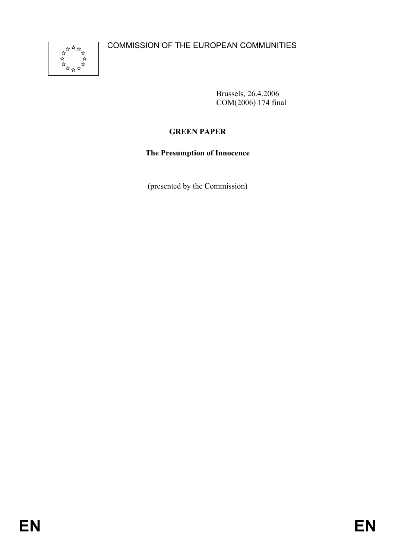

Brussels, 26.4.2006 COM(2006) 174 final

# **GREEN PAPER**

**The Presumption of Innocence** 

(presented by the Commission)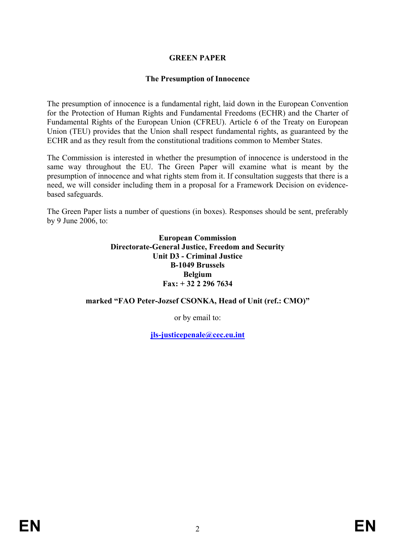### **GREEN PAPER**

#### **The Presumption of Innocence**

The presumption of innocence is a fundamental right, laid down in the European Convention for the Protection of Human Rights and Fundamental Freedoms (ECHR) and the Charter of Fundamental Rights of the European Union (CFREU). Article 6 of the Treaty on European Union (TEU) provides that the Union shall respect fundamental rights, as guaranteed by the ECHR and as they result from the constitutional traditions common to Member States.

The Commission is interested in whether the presumption of innocence is understood in the same way throughout the EU. The Green Paper will examine what is meant by the presumption of innocence and what rights stem from it. If consultation suggests that there is a need, we will consider including them in a proposal for a Framework Decision on evidencebased safeguards.

The Green Paper lists a number of questions (in boxes). Responses should be sent, preferably by 9 June 2006, to:

> **European Commission Directorate-General Justice, Freedom and Security Unit D3 - Criminal Justice B-1049 Brussels Belgium Fax: + 32 2 296 7634**

### **marked "FAO Peter-Jozsef CSONKA, Head of Unit (ref.: CMO)"**

or by email to:

**jls-justicepenale@cec.eu.int**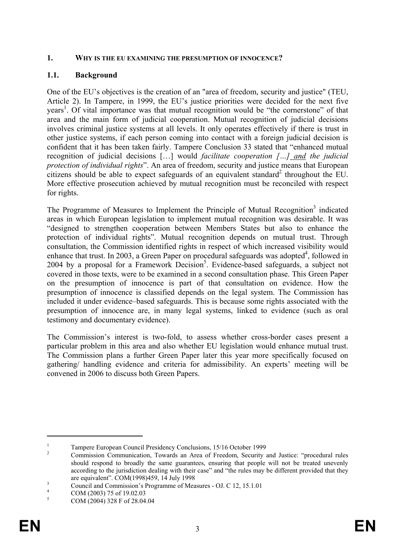#### **1. WHY IS THE EU EXAMINING THE PRESUMPTION OF INNOCENCE?**

### **1.1. Background**

One of the EU's objectives is the creation of an "area of freedom, security and justice" (TEU, Article 2). In Tampere, in 1999, the EU's justice priorities were decided for the next five years<sup>1</sup>. Of vital importance was that mutual recognition would be "the cornerstone" of that area and the main form of judicial cooperation. Mutual recognition of judicial decisions involves criminal justice systems at all levels. It only operates effectively if there is trust in other justice systems, if each person coming into contact with a foreign judicial decision is confident that it has been taken fairly. Tampere Conclusion 33 stated that "enhanced mutual recognition of judicial decisions […] would *facilitate cooperation […] and the judicial protection of individual rights*". An area of freedom, security and justice means that European citizens should be able to expect safeguards of an equivalent standard<sup>2</sup> throughout the EU. More effective prosecution achieved by mutual recognition must be reconciled with respect for rights.

The Programme of Measures to Implement the Principle of Mutual Recognition<sup>3</sup> indicated areas in which European legislation to implement mutual recognition was desirable. It was "designed to strengthen cooperation between Members States but also to enhance the protection of individual rights". Mutual recognition depends on mutual trust. Through consultation, the Commission identified rights in respect of which increased visibility would enhance that trust. In 2003, a Green Paper on procedural safeguards was adopted $4$ , followed in 2004 by a proposal for a Framework Decision<sup>5</sup>. Evidence-based safeguards, a subject not covered in those texts, were to be examined in a second consultation phase. This Green Paper on the presumption of innocence is part of that consultation on evidence. How the presumption of innocence is classified depends on the legal system. The Commission has included it under evidence–based safeguards. This is because some rights associated with the presumption of innocence are, in many legal systems, linked to evidence (such as oral testimony and documentary evidence).

The Commission's interest is two-fold, to assess whether cross-border cases present a particular problem in this area and also whether EU legislation would enhance mutual trust. The Commission plans a further Green Paper later this year more specifically focused on gathering/ handling evidence and criteria for admissibility. An experts' meeting will be convened in 2006 to discuss both Green Papers.

<sup>1</sup> Tampere European Council Presidency Conclusions, 15/16 October 1999

<sup>2</sup> Commission Communication, Towards an Area of Freedom, Security and Justice: "procedural rules should respond to broadly the same guarantees, ensuring that people will not be treated unevenly according to the jurisdiction dealing with their case" and "the rules may be different provided that they are equivalent". COM(1998)459, 14 July 1998

Council and Commission's Programme of Measures - OJ. C 12, 15.1.01

<sup>4</sup> COM (2003) 75 of 19.02.03

<sup>5</sup> COM (2004) 328 F of 28.04.04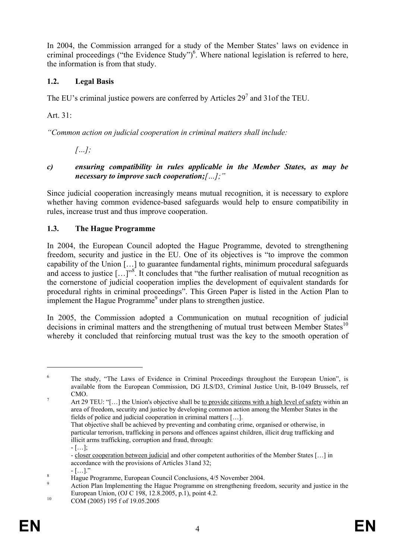In 2004, the Commission arranged for a study of the Member States' laws on evidence in criminal proceedings ("the Evidence Study") $<sup>6</sup>$ . Where national legislation is referred to here,</sup> the information is from that study.

## **1.2. Legal Basis**

The EU's criminal justice powers are conferred by Articles  $29<sup>7</sup>$  and 31 of the TEU.

Art. 31:

*"Common action on judicial cooperation in criminal matters shall include:* 

 *[…];* 

*c) ensuring compatibility in rules applicable in the Member States, as may be necessary to improve such cooperation;[…];"*

Since judicial cooperation increasingly means mutual recognition, it is necessary to explore whether having common evidence-based safeguards would help to ensure compatibility in rules, increase trust and thus improve cooperation.

# **1.3. The Hague Programme**

In 2004, the European Council adopted the Hague Programme, devoted to strengthening freedom, security and justice in the EU. One of its objectives is "to improve the common capability of the Union […] to guarantee fundamental rights, minimum procedural safeguards and access to justice  $[...]^{38}$ . It concludes that "the further realisation of mutual recognition as the cornerstone of judicial cooperation implies the development of equivalent standards for procedural rights in criminal proceedings". This Green Paper is listed in the Action Plan to implement the Hague Programme $<sup>9</sup>$  under plans to strengthen justice.</sup>

In 2005, the Commission adopted a Communication on mutual recognition of judicial decisions in criminal matters and the strengthening of mutual trust between Member States<sup>10</sup> whereby it concluded that reinforcing mutual trust was the key to the smooth operation of

<sup>6</sup> The study, "The Laws of Evidence in Criminal Proceedings throughout the European Union", is available from the European Commission, DG JLS/D3, Criminal Justice Unit, B-1049 Brussels, ref  $\overline{CMO}$ .

Art 29 TEU: "[...] the Union's objective shall be to provide citizens with a high level of safety within an area of freedom, security and justice by developing common action among the Member States in the fields of police and judicial cooperation in criminal matters […].

That objective shall be achieved by preventing and combating crime, organised or otherwise, in particular terrorism, trafficking in persons and offences against children, illicit drug trafficking and illicit arms trafficking, corruption and fraud, through: - […];

<sup>-</sup> closer cooperation between judicial and other competent authorities of the Member States […] in accordance with the provisions of Articles 31and 32;

 $\begin{bmatrix} 8 & 1 \end{bmatrix}$   $\begin{bmatrix} 1 & 1 \end{bmatrix}$ ."

Hague Programme, European Council Conclusions, 4/5 November 2004.  $\overline{Q}$ 

Action Plan Implementing the Hague Programme on strengthening freedom, security and justice in the European Union, (OJ C 198, 12.8.2005, p.1), point 4.2.<br>
COM (2005) 195 f of 19.05.2005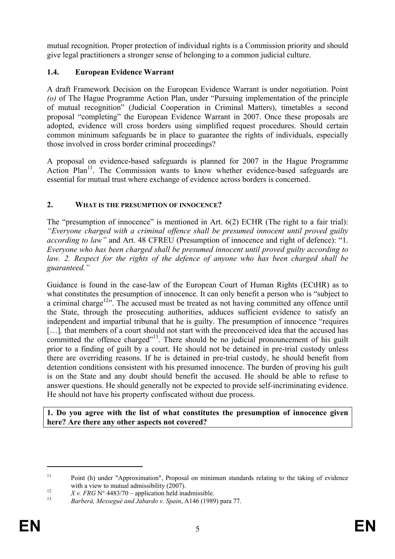mutual recognition. Proper protection of individual rights is a Commission priority and should give legal practitioners a stronger sense of belonging to a common judicial culture.

# **1.4. European Evidence Warrant**

A draft Framework Decision on the European Evidence Warrant is under negotiation. Point *(o)* of The Hague Programme Action Plan, under "Pursuing implementation of the principle of mutual recognition" (Judicial Cooperation in Criminal Matters), timetables a second proposal "completing" the European Evidence Warrant in 2007. Once these proposals are adopted, evidence will cross borders using simplified request procedures. Should certain common minimum safeguards be in place to guarantee the rights of individuals, especially those involved in cross border criminal proceedings?

A proposal on evidence-based safeguards is planned for 2007 in the Hague Programme Action Plan<sup>11</sup>. The Commission wants to know whether evidence-based safeguards are essential for mutual trust where exchange of evidence across borders is concerned.

# **2. WHAT IS THE PRESUMPTION OF INNOCENCE?**

The "presumption of innocence" is mentioned in Art. 6(2) ECHR (The right to a fair trial): *"Everyone charged with a criminal offence shall be presumed innocent until proved guilty according to law"* and Art. 48 CFREU (Presumption of innocence and right of defence): "1. *Everyone who has been charged shall be presumed innocent until proved guilty according to*  law. 2. Respect for the rights of the defence of anyone who has been charged shall be *guaranteed."* 

Guidance is found in the case-law of the European Court of Human Rights (ECtHR) as to what constitutes the presumption of innocence. It can only benefit a person who is "subject to a criminal charge<sup>12</sup><sup>2</sup>. The accused must be treated as not having committed any offence until the State, through the prosecuting authorities, adduces sufficient evidence to satisfy an independent and impartial tribunal that he is guilty. The presumption of innocence "requires [...], that members of a court should not start with the preconceived idea that the accused has committed the offence charged"<sup>13</sup>. There should be no judicial pronouncement of his guilt prior to a finding of guilt by a court. He should not be detained in pre-trial custody unless there are overriding reasons. If he is detained in pre-trial custody, he should benefit from detention conditions consistent with his presumed innocence. The burden of proving his guilt is on the State and any doubt should benefit the accused. He should be able to refuse to answer questions. He should generally not be expected to provide self-incriminating evidence. He should not have his property confiscated without due process.

**1. Do you agree with the list of what constitutes the presumption of innocence given here? Are there any other aspects not covered?** 

<sup>&</sup>lt;sup>11</sup> Point (h) under "Approximation", Proposal on minimum standards relating to the taking of evidence

with a view to mutual admissibility (2007).<br>
<sup>12</sup> *X v. FRG* N° 4483/70 – application held inadmissible.<br> *Barberà, Messegué and Jabardo v. Spain*, A146 (1989) para 77.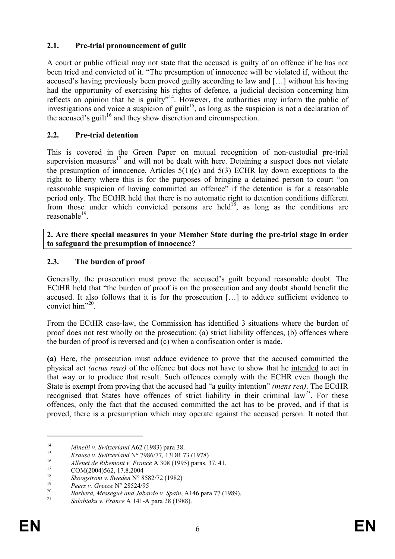### **2.1. Pre-trial pronouncement of guilt**

A court or public official may not state that the accused is guilty of an offence if he has not been tried and convicted of it. "The presumption of innocence will be violated if, without the accused's having previously been proved guilty according to law and […] without his having had the opportunity of exercising his rights of defence, a judicial decision concerning him reflects an opinion that he is guilty"14. However, the authorities may inform the public of investigations and voice a suspicion of guilt<sup>15</sup>, as long as the suspicion is not a declaration of the accused's guilt<sup>16</sup> and they show discretion and circumspection.

### **2.2. Pre-trial detention**

This is covered in the Green Paper on mutual recognition of non-custodial pre-trial supervision measures<sup>17</sup> and will not be dealt with here. Detaining a suspect does not violate the presumption of innocence. Articles  $5(1)(c)$  and  $5(3)$  ECHR lay down exceptions to the right to liberty where this is for the purposes of bringing a detained person to court "on reasonable suspicion of having committed an offence" if the detention is for a reasonable period only. The ECtHR held that there is no automatic right to detention conditions different from those under which convicted persons are held<sup>18</sup>, as long as the conditions are  $reasonable<sup>19</sup>$ 

**2. Are there special measures in your Member State during the pre-trial stage in order to safeguard the presumption of innocence?** 

### **2.3. The burden of proof**

Generally, the prosecution must prove the accused's guilt beyond reasonable doubt. The ECtHR held that "the burden of proof is on the prosecution and any doubt should benefit the accused. It also follows that it is for the prosecution […] to adduce sufficient evidence to convict him"<sup>20</sup>.

From the ECtHR case-law, the Commission has identified 3 situations where the burden of proof does not rest wholly on the prosecution: (a) strict liability offences, (b) offences where the burden of proof is reversed and (c) when a confiscation order is made.

**(a)** Here, the prosecution must adduce evidence to prove that the accused committed the physical act *(actus reus)* of the offence but does not have to show that he intended to act in that way or to produce that result. Such offences comply with the ECHR even though the State is exempt from proving that the accused had "a guilty intention" *(mens rea)*. The ECtHR recognised that States have offences of strict liability in their criminal law*<sup>21</sup>*. For these offences, only the fact that the accused committed the act has to be proved, and if that is proved, there is a presumption which may operate against the accused person. It noted that

<sup>&</sup>lt;sup>14</sup> *Minelli v. Switzerland* A62 (1983) para 38.<br>
<sup>15</sup> *Krause v. Switzerland* N° 7986/77, 13DR 73 (1978)<br> *Allenet de Ribemont v. France* A 308 (1995) paras. 37, 41.<br>
COM(2004)562, 17.8.2004<br>
<sup>18</sup> *Skoogström v. Sweden*

<sup>&</sup>lt;sup>19</sup> *Peers v. Greece* N° 28524/95<br>
<sup>20</sup> *Barberà, Messegué and Jabardo v. Spain*, A146 para 77 (1989).<br>
<sup>21</sup> *Salabiaku v. France* A 141-A para 28 (1988).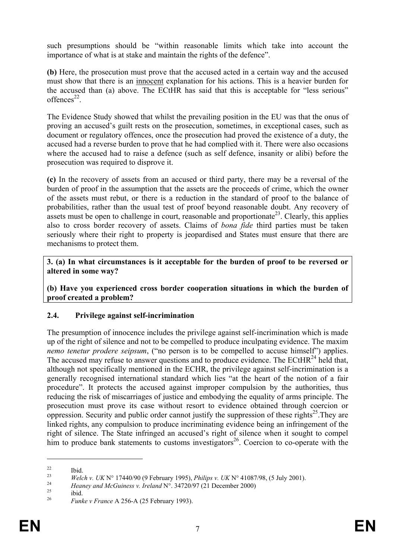such presumptions should be "within reasonable limits which take into account the importance of what is at stake and maintain the rights of the defence".

**(b)** Here, the prosecution must prove that the accused acted in a certain way and the accused must show that there is an innocent explanation for his actions. This is a heavier burden for the accused than (a) above. The ECtHR has said that this is acceptable for "less serious"  $offences<sup>22</sup>$ 

The Evidence Study showed that whilst the prevailing position in the EU was that the onus of proving an accused's guilt rests on the prosecution, sometimes, in exceptional cases, such as document or regulatory offences, once the prosecution had proved the existence of a duty, the accused had a reverse burden to prove that he had complied with it. There were also occasions where the accused had to raise a defence (such as self defence, insanity or alibi) before the prosecution was required to disprove it.

**(c)** In the recovery of assets from an accused or third party, there may be a reversal of the burden of proof in the assumption that the assets are the proceeds of crime, which the owner of the assets must rebut, or there is a reduction in the standard of proof to the balance of probabilities, rather than the usual test of proof beyond reasonable doubt. Any recovery of assets must be open to challenge in court, reasonable and proportionate<sup>23</sup>. Clearly, this applies also to cross border recovery of assets. Claims of *bona fide* third parties must be taken seriously where their right to property is jeopardised and States must ensure that there are mechanisms to protect them.

**3. (a) In what circumstances is it acceptable for the burden of proof to be reversed or altered in some way?** 

**(b) Have you experienced cross border cooperation situations in which the burden of proof created a problem?** 

### **2.4. Privilege against self-incrimination**

The presumption of innocence includes the privilege against self-incrimination which is made up of the right of silence and not to be compelled to produce inculpating evidence. The maxim *nemo tenetur prodere seipsum*, ("no person is to be compelled to accuse himself") applies. The accused may refuse to answer questions and to produce evidence. The ECtHR $^{24}$  held that, although not specifically mentioned in the ECHR, the privilege against self-incrimination is a generally recognised international standard which lies "at the heart of the notion of a fair procedure". It protects the accused against improper compulsion by the authorities, thus reducing the risk of miscarriages of justice and embodying the equality of arms principle. The prosecution must prove its case without resort to evidence obtained through coercion or oppression. Security and public order cannot justify the suppression of these rights<sup>25</sup>. They are linked rights, any compulsion to produce incriminating evidence being an infringement of the right of silence. The State infringed an accused's right of silence when it sought to compel him to produce bank statements to customs investigators<sup>26</sup>. Coercion to co-operate with the

 $\frac{22}{23}$  Ibid.

*Welch v. UK* N° 17440/90 (9 February 1995), *Philips v. UK* N° 41087/98, (5 July 2001).<br> *Heaney and McGuiness v. Ireland* N°. 34720/97 (21 December 2000) ibid.<br> *Particular France A* 256 A (25 February 1002).

<sup>26</sup> *Funke v France* A 256-A (25 February 1993).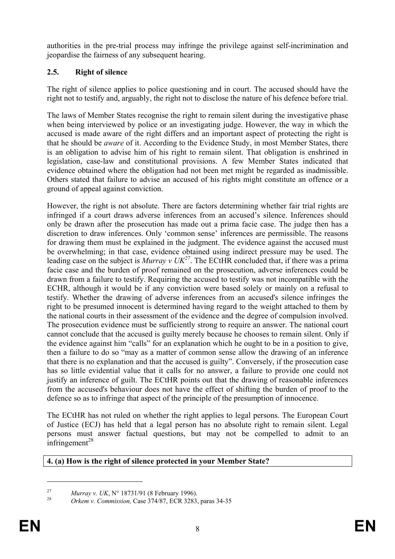authorities in the pre-trial process may infringe the privilege against self-incrimination and jeopardise the fairness of any subsequent hearing.

# **2.5. Right of silence**

The right of silence applies to police questioning and in court. The accused should have the right not to testify and, arguably, the right not to disclose the nature of his defence before trial.

The laws of Member States recognise the right to remain silent during the investigative phase when being interviewed by police or an investigating judge. However, the way in which the accused is made aware of the right differs and an important aspect of protecting the right is that he should be *aware* of it. According to the Evidence Study, in most Member States, there is an obligation to advise him of his right to remain silent. That obligation is enshrined in legislation, case-law and constitutional provisions. A few Member States indicated that evidence obtained where the obligation had not been met might be regarded as inadmissible. Others stated that failure to advise an accused of his rights might constitute an offence or a ground of appeal against conviction.

However, the right is not absolute. There are factors determining whether fair trial rights are infringed if a court draws adverse inferences from an accused's silence. Inferences should only be drawn after the prosecution has made out a prima facie case. The judge then has a discretion to draw inferences. Only 'common sense' inferences are permissible. The reasons for drawing them must be explained in the judgment. The evidence against the accused must be overwhelming; in that case, evidence obtained using indirect pressure may be used. The leading case on the subject is *Murray v UK*<sup>27</sup>. The ECtHR concluded that, if there was a prima facie case and the burden of proof remained on the prosecution, adverse inferences could be drawn from a failure to testify. Requiring the accused to testify was not incompatible with the ECHR, although it would be if any conviction were based solely or mainly on a refusal to testify. Whether the drawing of adverse inferences from an accused's silence infringes the right to be presumed innocent is determined having regard to the weight attached to them by the national courts in their assessment of the evidence and the degree of compulsion involved. The prosecution evidence must be sufficiently strong to require an answer. The national court cannot conclude that the accused is guilty merely because he chooses to remain silent. Only if the evidence against him "calls" for an explanation which he ought to be in a position to give, then a failure to do so "may as a matter of common sense allow the drawing of an inference that there is no explanation and that the accused is guilty". Conversely, if the prosecution case has so little evidential value that it calls for no answer, a failure to provide one could not justify an inference of guilt. The ECtHR points out that the drawing of reasonable inferences from the accused's behaviour does not have the effect of shifting the burden of proof to the defence so as to infringe that aspect of the principle of the presumption of innocence.

The ECtHR has not ruled on whether the right applies to legal persons. The European Court of Justice (ECJ) has held that a legal person has no absolute right to remain silent. Legal persons must answer factual questions, but may not be compelled to admit to an infringement<sup>28</sup>

# **4. (a) How is the right of silence protected in your Member State?**

<sup>27</sup> *Murray v. UK*, N° 18731/91 (8 February 1996). <sup>28</sup> *Orkem v. Commission,* Case 374/87, ECR 3283, paras 34-35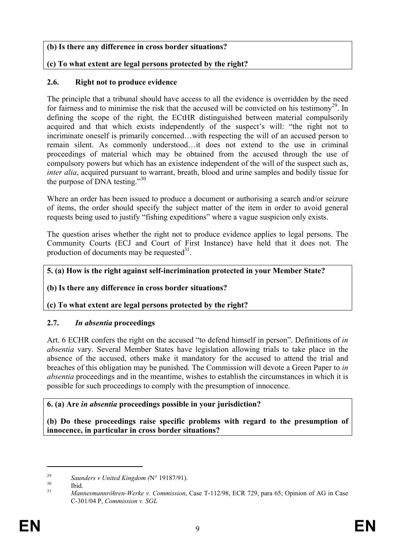### **(b) Is there any difference in cross border situations?**

# **(c) To what extent are legal persons protected by the right?**

### **2.6. Right not to produce evidence**

The principle that a tribunal should have access to all the evidence is overridden by the need for fairness and to minimise the risk that the accused will be convicted on his testimony<sup>29</sup>. In defining the scope of the right*,* the ECtHR distinguished between material compulsorily acquired and that which exists independently of the suspect's will: "the right not to incriminate oneself is primarily concerned…with respecting the will of an accused person to remain silent. As commonly understood…it does not extend to the use in criminal proceedings of material which may be obtained from the accused through the use of compulsory powers but which has an existence independent of the will of the suspect such as, *inter alia*, acquired pursuant to warrant, breath, blood and urine samples and bodily tissue for the purpose of DNA testing."<sup>30</sup>

Where an order has been issued to produce a document or authorising a search and/or seizure of items, the order should specify the subject matter of the item in order to avoid general requests being used to justify "fishing expeditions" where a vague suspicion only exists.

The question arises whether the right not to produce evidence applies to legal persons. The Community Courts (ECJ and Court of First Instance) have held that it does not. The production of documents may be requested $3^1$ .

### **5. (a) How is the right against self-incrimination protected in your Member State?**

### **(b) Is there any difference in cross border situations?**

### **(c) To what extent are legal persons protected by the right?**

# **2.7.** *In absentia* **proceedings**

Art. 6 ECHR confers the right on the accused "to defend himself in person". Definitions of *in absentia* vary. Several Member States have legislation allowing trials to take place in the absence of the accused, others make it mandatory for the accused to attend the trial and breaches of this obligation may be punished. The Commission will devote a Green Paper to *in absentia* proceedings and in the meantime, wishes to establish the circumstances in which it is possible for such proceedings to comply with the presumption of innocence.

### **6. (a) Are** *in absentia* **proceedings possible in your jurisdiction?**

**(b) Do these proceedings raise specific problems with regard to the presumption of innocence, in particular in cross border situations?** 

<sup>&</sup>lt;sup>29</sup> *Saunders v United Kingdom (N° 19187/91).*<br>30 **Ibid.** *Manneomenmähnen Werke v Commission* 

<sup>31</sup> *Mannesmannröhren-Werke v. Commission*, Case T-112/98, ECR 729, para 65; Opinion of AG in Case C-301/04 P, *Commission v. SGL*